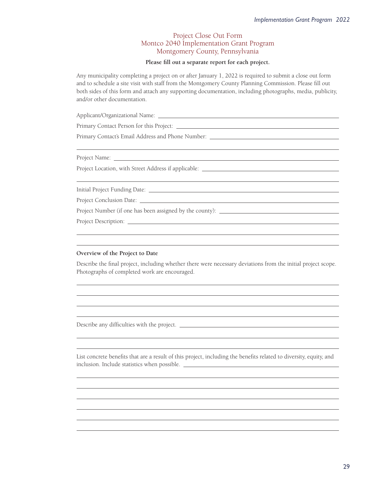## Project Close Out Form Montco 2040 Implementation Grant Program Montgomery County, Pennsylvania

## Please fill out a separate report for each project.

Any municipality completing a project on or after January 1, 2022 is required to submit a close out form and to schedule a site visit with staff from the Montgomery County Planning Commission. Please fill out both sides of this form and attach any supporting documentation, including photographs, media, publicity, and/or other documentation.

O8½º ²u8Î8½8»8bU»

Primary Contact Person for this Project:

Primary Contact's Email Address and Phone Number: \_\_\_\_\_\_\_\_\_\_\_\_\_\_\_\_\_\_\_\_\_\_\_\_\_\_\_\_\_\_\_

Project Name:

 $\overline{a}$ 

 $\overline{a}$ 

 $\overline{a}$ 

 $\overline{a}$ 

Project Location, with Street Address if applicable:

½8»(²bO½»ÂYu»8½bU»

Project Conclusion Date: \_\_\_\_\_\_\_

Project Number (if one has been assigned by the county):

Project Description: <u>the contract of the contract of the contract of the contract of the contract of the contract of the contract of the contract of the contract of the contract of the contract of the contract of the cont</u>

## **Overview of the Project to Date**

Describe the final project, including whether there were necessary deviations from the initial project scope. Photographs of completed work are encouraged.

Describe any difficulties with the project. \_\_\_\_\_\_\_\_\_\_\_\_

List concrete benefits that are a result of this project, including the benefits related to diversity, equity, and inclusion. Include statistics when possible.